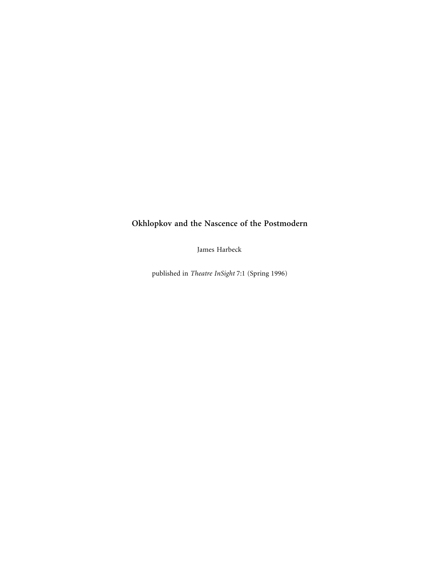## **Okhlopkov and the Nascence of the Postmodern**

James Harbeck

published in *Theatre InSight* 7:1 (Spring 1996)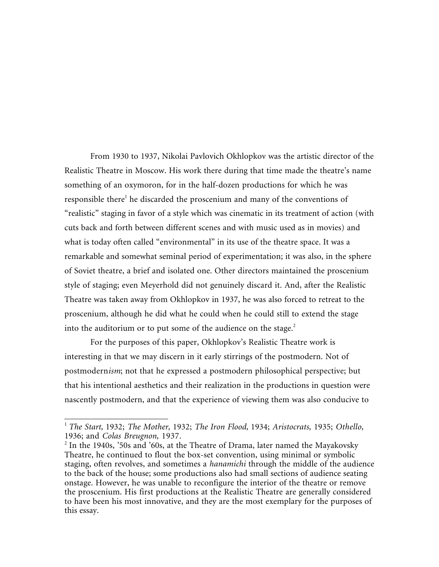From 1930 to 1937, Nikolai Pavlovich Okhlopkov was the artistic director of the Realistic Theatre in Moscow. His work there during that time made the theatre's name something of an oxymoron, for in the half-dozen productions for which he was responsible there<sup>1</sup> he discarded the proscenium and many of the conventions of "realistic" staging in favor of a style which was cinematic in its treatment of action (with cuts back and forth between different scenes and with music used as in movies) and what is today often called "environmental" in its use of the theatre space. It was a remarkable and somewhat seminal period of experimentation; it was also, in the sphere of Soviet theatre, a brief and isolated one. Other directors maintained the proscenium style of staging; even Meyerhold did not genuinely discard it. And, after the Realistic Theatre was taken away from Okhlopkov in 1937, he was also forced to retreat to the proscenium, although he did what he could when he could still to extend the stage into the auditorium or to put some of the audience on the stage. $<sup>2</sup>$ </sup>

For the purposes of this paper, Okhlopkov's Realistic Theatre work is interesting in that we may discern in it early stirrings of the postmodern. Not of postmodern*ism*; not that he expressed a postmodern philosophical perspective; but that his intentional aesthetics and their realization in the productions in question were nascently postmodern, and that the experience of viewing them was also conducive to

<sup>1</sup> *The Start,* 1932; *The Mother,* 1932; *The Iron Flood,* 1934; *Aristocrats,* 1935; *Othello,* 1936; and *Colas Breugnon,* 1937. <sup>2</sup>

 $^2$  In the 1940s, '50s and '60s, at the Theatre of Drama, later named the Mayakovsky Theatre, he continued to flout the box-set convention, using minimal or symbolic staging, often revolves, and sometimes a *hanamichi* through the middle of the audience to the back of the house; some productions also had small sections of audience seating onstage. However, he was unable to reconfigure the interior of the theatre or remove the proscenium. His first productions at the Realistic Theatre are generally considered to have been his most innovative, and they are the most exemplary for the purposes of this essay.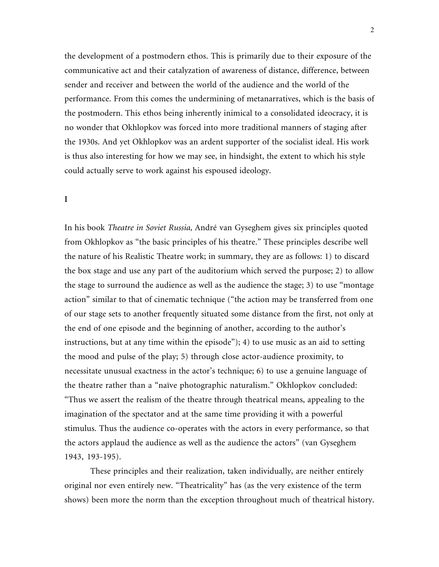the development of a postmodern ethos. This is primarily due to their exposure of the communicative act and their catalyzation of awareness of distance, difference, between sender and receiver and between the world of the audience and the world of the performance. From this comes the undermining of metanarratives, which is the basis of the postmodern. This ethos being inherently inimical to a consolidated ideocracy, it is no wonder that Okhlopkov was forced into more traditional manners of staging after the 1930s. And yet Okhlopkov was an ardent supporter of the socialist ideal. His work is thus also interesting for how we may see, in hindsight, the extent to which his style could actually serve to work against his espoused ideology.

## **I**

In his book *Theatre in Soviet Russia,* André van Gyseghem gives six principles quoted from Okhlopkov as "the basic principles of his theatre." These principles describe well the nature of his Realistic Theatre work; in summary, they are as follows: 1) to discard the box stage and use any part of the auditorium which served the purpose; 2) to allow the stage to surround the audience as well as the audience the stage; 3) to use "montage action" similar to that of cinematic technique ("the action may be transferred from one of our stage sets to another frequently situated some distance from the first, not only at the end of one episode and the beginning of another, according to the author's instructions, but at any time within the episode"); 4) to use music as an aid to setting the mood and pulse of the play; 5) through close actor-audience proximity, to necessitate unusual exactness in the actor's technique; 6) to use a genuine language of the theatre rather than a "naïve photographic naturalism." Okhlopkov concluded: "Thus we assert the realism of the theatre through theatrical means, appealing to the imagination of the spectator and at the same time providing it with a powerful stimulus. Thus the audience co-operates with the actors in every performance, so that the actors applaud the audience as well as the audience the actors" (van Gyseghem 1943, 193-195).

These principles and their realization, taken individually, are neither entirely original nor even entirely new. "Theatricality" has (as the very existence of the term shows) been more the norm than the exception throughout much of theatrical history.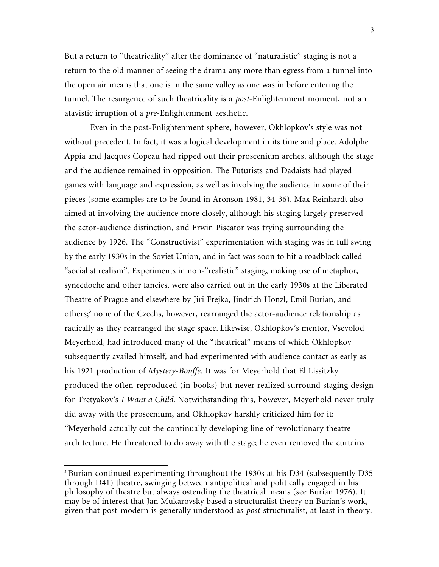But a return to "theatricality" after the dominance of "naturalistic" staging is not a return to the old manner of seeing the drama any more than egress from a tunnel into the open air means that one is in the same valley as one was in before entering the tunnel. The resurgence of such theatricality is a *post*-Enlightenment moment, not an atavistic irruption of a *pre*-Enlightenment aesthetic.

Even in the post-Enlightenment sphere, however, Okhlopkov's style was not without precedent. In fact, it was a logical development in its time and place. Adolphe Appia and Jacques Copeau had ripped out their proscenium arches, although the stage and the audience remained in opposition. The Futurists and Dadaists had played games with language and expression, as well as involving the audience in some of their pieces (some examples are to be found in Aronson 1981, 34-36). Max Reinhardt also aimed at involving the audience more closely, although his staging largely preserved the actor-audience distinction, and Erwin Piscator was trying surrounding the audience by 1926. The "Constructivist" experimentation with staging was in full swing by the early 1930s in the Soviet Union, and in fact was soon to hit a roadblock called "socialist realism". Experiments in non-"realistic" staging, making use of metaphor, synecdoche and other fancies, were also carried out in the early 1930s at the Liberated Theatre of Prague and elsewhere by Jiri Frejka, Jindrich Honzl, Emil Burian, and others;<sup>3</sup> none of the Czechs, however, rearranged the actor-audience relationship as radically as they rearranged the stage space. Likewise, Okhlopkov's mentor, Vsevolod Meyerhold, had introduced many of the "theatrical" means of which Okhlopkov subsequently availed himself, and had experimented with audience contact as early as his 1921 production of *Mystery-Bouffe.* It was for Meyerhold that El Lissitzky produced the often-reproduced (in books) but never realized surround staging design for Tretyakov's *I Want a Child.* Notwithstanding this, however, Meyerhold never truly did away with the proscenium, and Okhlopkov harshly criticized him for it: "Meyerhold actually cut the continually developing line of revolutionary theatre architecture. He threatened to do away with the stage; he even removed the curtains

<sup>&</sup>lt;sup>3</sup> Burian continued experimenting throughout the 1930s at his D34 (subsequently D35 through D41) theatre, swinging between antipolitical and politically engaged in his philosophy of theatre but always ostending the theatrical means (see Burian 1976). It may be of interest that Jan Mukarovsky based a structuralist theory on Burian's work, given that post-modern is generally understood as *post*-structuralist, at least in theory.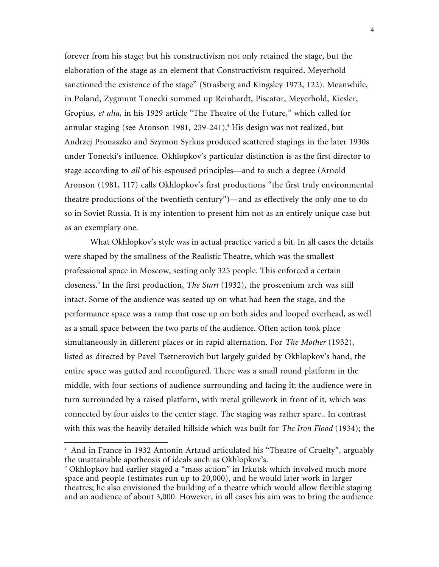forever from his stage; but his constructivism not only retained the stage, but the elaboration of the stage as an element that Constructivism required. Meyerhold sanctioned the existence of the stage" (Strasberg and Kingsley 1973, 122). Meanwhile, in Poland, Zygmunt Tonecki summed up Reinhardt, Piscator, Meyerhold, Kiesler, Gropius, *et alia*, in his 1929 article "The Theatre of the Future," which called for annular staging (see Aronson 1981, 239-241).<sup>4</sup> His design was not realized, but Andrzej Pronaszko and Szymon Syrkus produced scattered stagings in the later 1930s under Tonecki's influence. Okhlopkov's particular distinction is as the first director to stage according to *all* of his espoused principles—and to such a degree (Arnold Aronson (1981, 117) calls Okhlopkov's first productions "the first truly environmental theatre productions of the twentieth century")—and as effectively the only one to do so in Soviet Russia. It is my intention to present him not as an entirely unique case but as an exemplary one.

What Okhlopkov's style was in actual practice varied a bit. In all cases the details were shaped by the smallness of the Realistic Theatre, which was the smallest professional space in Moscow, seating only 325 people. This enforced a certain closeness.<sup>5</sup> In the first production, *The Start* (1932), the proscenium arch was still intact. Some of the audience was seated up on what had been the stage, and the performance space was a ramp that rose up on both sides and looped overhead, as well as a small space between the two parts of the audience. Often action took place simultaneously in different places or in rapid alternation. For *The Mother* (1932), listed as directed by Pavel Tsetnerovich but largely guided by Okhlopkov's hand, the entire space was gutted and reconfigured. There was a small round platform in the middle, with four sections of audience surrounding and facing it; the audience were in turn surrounded by a raised platform, with metal grillework in front of it, which was connected by four aisles to the center stage. The staging was rather spare.. In contrast with this was the heavily detailed hillside which was built for *The Iron Flood* (1934); the

<sup>4</sup> And in France in 1932 Antonin Artaud articulated his "Theatre of Cruelty", arguably the unattainable apotheosis of ideals such as Okhlopkov's.

<sup>&</sup>lt;sup>5</sup> Okhlopkov had earlier staged a "mass action" in Irkutsk which involved much more space and people (estimates run up to 20,000), and he would later work in larger theatres; he also envisioned the building of a theatre which would allow flexible staging and an audience of about 3,000. However, in all cases his aim was to bring the audience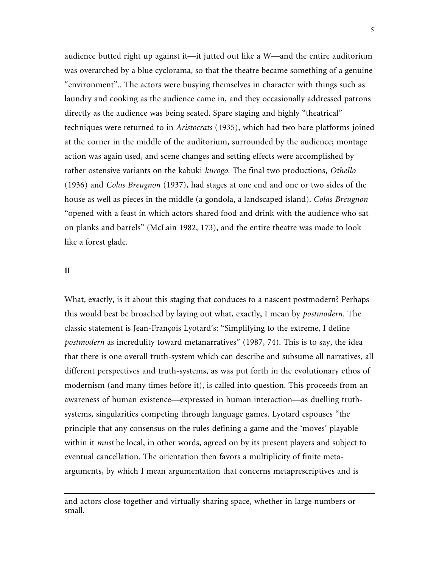audience butted right up against it—it jutted out like a W—and the entire auditorium was overarched by a blue cyclorama, so that the theatre became something of a genuine "environment".. The actors were busying themselves in character with things such as laundry and cooking as the audience came in, and they occasionally addressed patrons directly as the audience was being seated. Spare staging and highly "theatrical" techniques were returned to in *Aristocrats* (1935), which had two bare platforms joined at the corner in the middle of the auditorium, surrounded by the audience; montage action was again used, and scene changes and setting effects were accomplished by rather ostensive variants on the kabuki *kurogo.* The final two productions, *Othello* (1936) and *Colas Breugnon* (1937), had stages at one end and one or two sides of the house as well as pieces in the middle (a gondola, a landscaped island). *Colas Breugnon* "opened with a feast in which actors shared food and drink with the audience who sat on planks and barrels" (McLain 1982, 173), and the entire theatre was made to look like a forest glade.

## **II**

 $\overline{a}$ 

What, exactly, is it about this staging that conduces to a nascent postmodern? Perhaps this would best be broached by laying out what, exactly, I mean by *postmodern.* The classic statement is Jean-François Lyotard's: "Simplifying to the extreme, I define *postmodern* as incredulity toward metanarratives" (1987, 74). This is to say, the idea that there is one overall truth-system which can describe and subsume all narratives, all different perspectives and truth-systems, as was put forth in the evolutionary ethos of modernism (and many times before it), is called into question. This proceeds from an awareness of human existence—expressed in human interaction—as duelling truthsystems, singularities competing through language games. Lyotard espouses "the principle that any consensus on the rules defining a game and the 'moves' playable within it *must* be local, in other words, agreed on by its present players and subject to eventual cancellation. The orientation then favors a multiplicity of finite metaarguments, by which I mean argumentation that concerns metaprescriptives and is

and actors close together and virtually sharing space, whether in large numbers or small.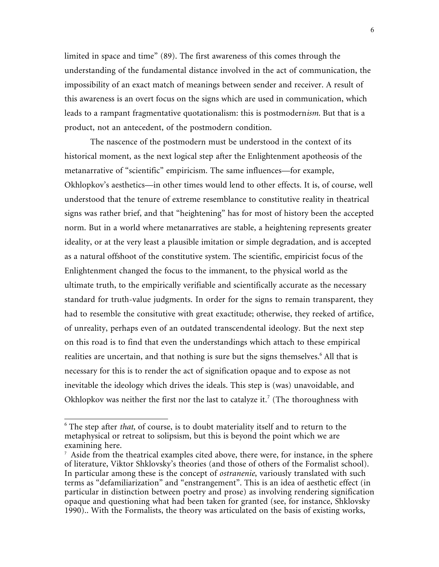limited in space and time" (89). The first awareness of this comes through the understanding of the fundamental distance involved in the act of communication, the impossibility of an exact match of meanings between sender and receiver. A result of this awareness is an overt focus on the signs which are used in communication, which leads to a rampant fragmentative quotationalism: this is postmodern*ism.* But that is a product, not an antecedent, of the postmodern condition.

The nascence of the postmodern must be understood in the context of its historical moment, as the next logical step after the Enlightenment apotheosis of the metanarrative of "scientific" empiricism. The same influences—for example, Okhlopkov's aesthetics—in other times would lend to other effects. It is, of course, well understood that the tenure of extreme resemblance to constitutive reality in theatrical signs was rather brief, and that "heightening" has for most of history been the accepted norm. But in a world where metanarratives are stable, a heightening represents greater ideality, or at the very least a plausible imitation or simple degradation, and is accepted as a natural offshoot of the constitutive system. The scientific, empiricist focus of the Enlightenment changed the focus to the immanent, to the physical world as the ultimate truth, to the empirically verifiable and scientifically accurate as the necessary standard for truth-value judgments. In order for the signs to remain transparent, they had to resemble the consitutive with great exactitude; otherwise, they reeked of artifice, of unreality, perhaps even of an outdated transcendental ideology. But the next step on this road is to find that even the understandings which attach to these empirical realities are uncertain, and that nothing is sure but the signs themselves.<sup>6</sup> All that is necessary for this is to render the act of signification opaque and to expose as not inevitable the ideology which drives the ideals. This step is (was) unavoidable, and Okhlopkov was neither the first nor the last to catalyze it.<sup>7</sup> (The thoroughness with

<sup>6</sup> The step after *that,* of course, is to doubt materiality itself and to return to the metaphysical or retreat to solipsism, but this is beyond the point which we are examining here.

 $\frac{7}{1}$  Aside from the theatrical examples cited above, there were, for instance, in the sphere of literature, Viktor Shklovsky's theories (and those of others of the Formalist school). In particular among these is the concept of *ostranenie*, variously translated with such terms as "defamiliarization" and "enstrangement". This is an idea of aesthetic effect (in particular in distinction between poetry and prose) as involving rendering signification opaque and questioning what had been taken for granted (see, for instance, Shklovsky 1990).. With the Formalists, the theory was articulated on the basis of existing works,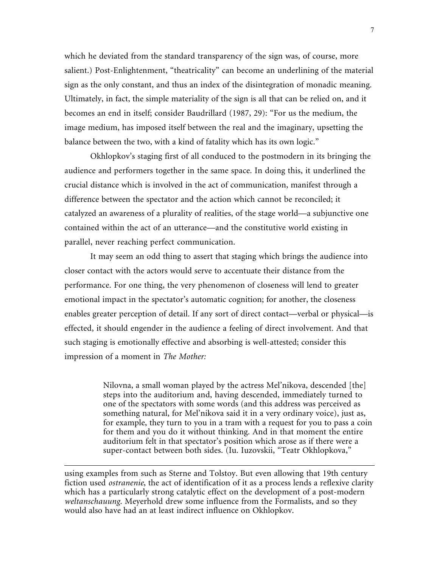which he deviated from the standard transparency of the sign was, of course, more salient.) Post-Enlightenment, "theatricality" can become an underlining of the material sign as the only constant, and thus an index of the disintegration of monadic meaning. Ultimately, in fact, the simple materiality of the sign is all that can be relied on, and it becomes an end in itself; consider Baudrillard (1987, 29): "For us the medium, the image medium, has imposed itself between the real and the imaginary, upsetting the balance between the two, with a kind of fatality which has its own logic."

Okhlopkov's staging first of all conduced to the postmodern in its bringing the audience and performers together in the same space. In doing this, it underlined the crucial distance which is involved in the act of communication, manifest through a difference between the spectator and the action which cannot be reconciled; it catalyzed an awareness of a plurality of realities, of the stage world—a subjunctive one contained within the act of an utterance—and the constitutive world existing in parallel, never reaching perfect communication.

It may seem an odd thing to assert that staging which brings the audience into closer contact with the actors would serve to accentuate their distance from the performance. For one thing, the very phenomenon of closeness will lend to greater emotional impact in the spectator's automatic cognition; for another, the closeness enables greater perception of detail. If any sort of direct contact—verbal or physical—is effected, it should engender in the audience a feeling of direct involvement. And that such staging is emotionally effective and absorbing is well-attested; consider this impression of a moment in *The Mother:*

> Nilovna, a small woman played by the actress Mel'nikova, descended [the] steps into the auditorium and, having descended, immediately turned to one of the spectators with some words (and this address was perceived as something natural, for Mel'nikova said it in a very ordinary voice), just as, for example, they turn to you in a tram with a request for you to pass a coin for them and you do it without thinking. And in that moment the entire auditorium felt in that spectator's position which arose as if there were a super-contact between both sides. (Iu. Iuzovskii, "Teatr Okhlopkova,"

using examples from such as Sterne and Tolstoy. But even allowing that 19th century fiction used *ostranenie*, the act of identification of it as a process lends a reflexive clarity which has a particularly strong catalytic effect on the development of a post-modern *weltanschauung*. Meyerhold drew some influence from the Formalists, and so they would also have had an at least indirect influence on Okhlopkov.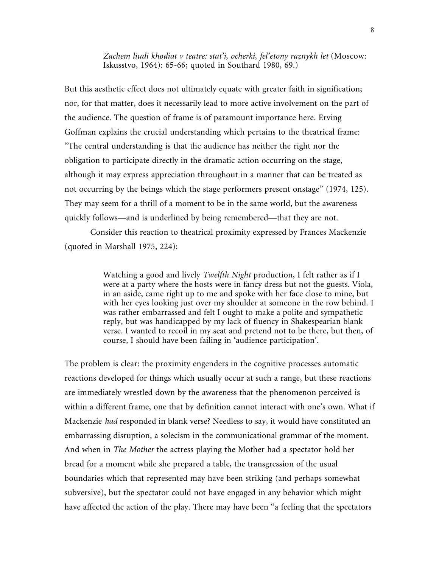*Zachem liudi khodiat v teatre: stat'i, ocherki, fel'etony raznykh let* (Moscow: Iskusstvo, 1964): 65-66; quoted in Southard 1980, 69.)

But this aesthetic effect does not ultimately equate with greater faith in signification; nor, for that matter, does it necessarily lead to more active involvement on the part of the audience. The question of frame is of paramount importance here. Erving Goffman explains the crucial understanding which pertains to the theatrical frame: "The central understanding is that the audience has neither the right nor the obligation to participate directly in the dramatic action occurring on the stage, although it may express appreciation throughout in a manner that can be treated as not occurring by the beings which the stage performers present onstage" (1974, 125). They may seem for a thrill of a moment to be in the same world, but the awareness quickly follows—and is underlined by being remembered—that they are not.

Consider this reaction to theatrical proximity expressed by Frances Mackenzie (quoted in Marshall 1975, 224):

> Watching a good and lively *Twelfth Night* production, I felt rather as if I were at a party where the hosts were in fancy dress but not the guests. Viola, in an aside, came right up to me and spoke with her face close to mine, but with her eyes looking just over my shoulder at someone in the row behind. I was rather embarrassed and felt I ought to make a polite and sympathetic reply, but was handicapped by my lack of fluency in Shakespearian blank verse. I wanted to recoil in my seat and pretend not to be there, but then, of course, I should have been failing in 'audience participation'.

The problem is clear: the proximity engenders in the cognitive processes automatic reactions developed for things which usually occur at such a range, but these reactions are immediately wrestled down by the awareness that the phenomenon perceived is within a different frame, one that by definition cannot interact with one's own. What if Mackenzie *had* responded in blank verse? Needless to say, it would have constituted an embarrassing disruption, a solecism in the communicational grammar of the moment. And when in *The Mother* the actress playing the Mother had a spectator hold her bread for a moment while she prepared a table, the transgression of the usual boundaries which that represented may have been striking (and perhaps somewhat subversive), but the spectator could not have engaged in any behavior which might have affected the action of the play. There may have been "a feeling that the spectators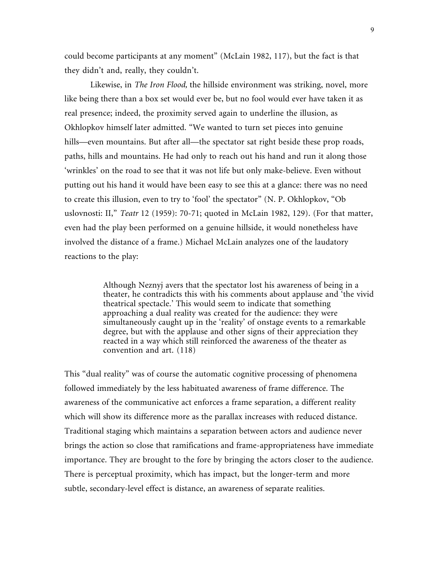could become participants at any moment" (McLain 1982, 117), but the fact is that they didn't and, really, they couldn't.

Likewise, in *The Iron Flood,* the hillside environment was striking, novel, more like being there than a box set would ever be, but no fool would ever have taken it as real presence; indeed, the proximity served again to underline the illusion, as Okhlopkov himself later admitted. "We wanted to turn set pieces into genuine hills—even mountains. But after all—the spectator sat right beside these prop roads, paths, hills and mountains. He had only to reach out his hand and run it along those 'wrinkles' on the road to see that it was not life but only make-believe. Even without putting out his hand it would have been easy to see this at a glance: there was no need to create this illusion, even to try to 'fool' the spectator" (N. P. Okhlopkov, "Ob uslovnosti: II," *Teatr* 12 (1959): 70-71; quoted in McLain 1982, 129). (For that matter, even had the play been performed on a genuine hillside, it would nonetheless have involved the distance of a frame.) Michael McLain analyzes one of the laudatory reactions to the play:

> Although Neznyj avers that the spectator lost his awareness of being in a theater, he contradicts this with his comments about applause and 'the vivid theatrical spectacle.' This would seem to indicate that something approaching a dual reality was created for the audience: they were simultaneously caught up in the 'reality' of onstage events to a remarkable degree, but with the applause and other signs of their appreciation they reacted in a way which still reinforced the awareness of the theater as convention and art. (118)

This "dual reality" was of course the automatic cognitive processing of phenomena followed immediately by the less habituated awareness of frame difference. The awareness of the communicative act enforces a frame separation, a different reality which will show its difference more as the parallax increases with reduced distance. Traditional staging which maintains a separation between actors and audience never brings the action so close that ramifications and frame-appropriateness have immediate importance. They are brought to the fore by bringing the actors closer to the audience. There is perceptual proximity, which has impact, but the longer-term and more subtle, secondary-level effect is distance, an awareness of separate realities.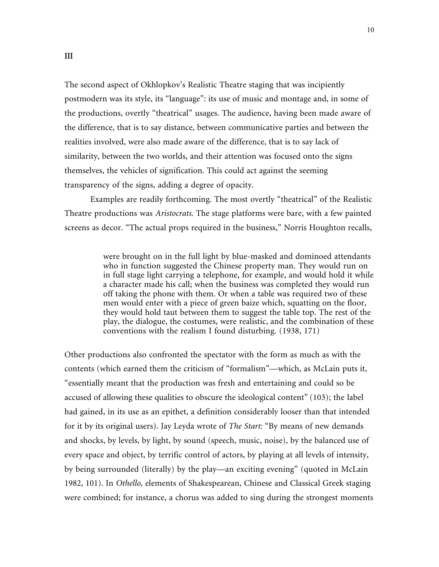The second aspect of Okhlopkov's Realistic Theatre staging that was incipiently postmodern was its style, its "language": its use of music and montage and, in some of the productions, overtly "theatrical" usages. The audience, having been made aware of the difference, that is to say distance, between communicative parties and between the realities involved, were also made aware of the difference, that is to say lack of similarity, between the two worlds, and their attention was focused onto the signs themselves, the vehicles of signification. This could act against the seeming transparency of the signs, adding a degree of opacity.

Examples are readily forthcoming. The most overtly "theatrical" of the Realistic Theatre productions was *Aristocrats*. The stage platforms were bare, with a few painted screens as decor. "The actual props required in the business," Norris Houghton recalls,

> were brought on in the full light by blue-masked and dominoed attendants who in function suggested the Chinese property man. They would run on in full stage light carrying a telephone, for example, and would hold it while a character made his call; when the business was completed they would run off taking the phone with them. Or when a table was required two of these men would enter with a piece of green baize which, squatting on the floor, they would hold taut between them to suggest the table top. The rest of the play, the dialogue, the costumes, were realistic, and the combination of these conventions with the realism I found disturbing. (1938, 171)

Other productions also confronted the spectator with the form as much as with the contents (which earned them the criticism of "formalism"—which, as McLain puts it, "essentially meant that the production was fresh and entertaining and could so be accused of allowing these qualities to obscure the ideological content" (103); the label had gained, in its use as an epithet, a definition considerably looser than that intended for it by its original users). Jay Leyda wrote of *The Start:* "By means of new demands and shocks, by levels, by light, by sound (speech, music, noise), by the balanced use of every space and object, by terrific control of actors, by playing at all levels of intensity, by being surrounded (literally) by the play—an exciting evening" (quoted in McLain 1982, 101). In *Othello,* elements of Shakespearean, Chinese and Classical Greek staging were combined; for instance, a chorus was added to sing during the strongest moments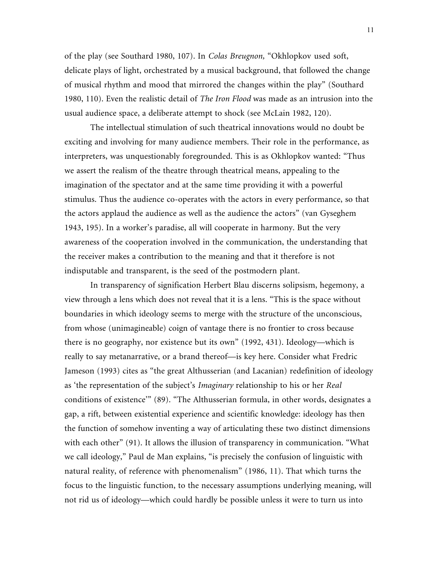of the play (see Southard 1980, 107). In *Colas Breugnon,* "Okhlopkov used soft, delicate plays of light, orchestrated by a musical background, that followed the change of musical rhythm and mood that mirrored the changes within the play" (Southard 1980, 110). Even the realistic detail of *The Iron Flood* was made as an intrusion into the usual audience space, a deliberate attempt to shock (see McLain 1982, 120).

The intellectual stimulation of such theatrical innovations would no doubt be exciting and involving for many audience members. Their role in the performance, as interpreters, was unquestionably foregrounded. This is as Okhlopkov wanted: "Thus we assert the realism of the theatre through theatrical means, appealing to the imagination of the spectator and at the same time providing it with a powerful stimulus. Thus the audience co-operates with the actors in every performance, so that the actors applaud the audience as well as the audience the actors" (van Gyseghem 1943, 195). In a worker's paradise, all will cooperate in harmony. But the very awareness of the cooperation involved in the communication, the understanding that the receiver makes a contribution to the meaning and that it therefore is not indisputable and transparent, is the seed of the postmodern plant.

In transparency of signification Herbert Blau discerns solipsism, hegemony, a view through a lens which does not reveal that it is a lens. "This is the space without boundaries in which ideology seems to merge with the structure of the unconscious, from whose (unimagineable) coign of vantage there is no frontier to cross because there is no geography, nor existence but its own" (1992, 431). Ideology—which is really to say metanarrative, or a brand thereof—is key here. Consider what Fredric Jameson (1993) cites as "the great Althusserian (and Lacanian) redefinition of ideology as 'the representation of the subject's *Imaginary* relationship to his or her *Real* conditions of existence'" (89). "The Althusserian formula, in other words, designates a gap, a rift, between existential experience and scientific knowledge: ideology has then the function of somehow inventing a way of articulating these two distinct dimensions with each other" (91). It allows the illusion of transparency in communication. "What we call ideology," Paul de Man explains, "is precisely the confusion of linguistic with natural reality, of reference with phenomenalism" (1986, 11). That which turns the focus to the linguistic function, to the necessary assumptions underlying meaning, will not rid us of ideology—which could hardly be possible unless it were to turn us into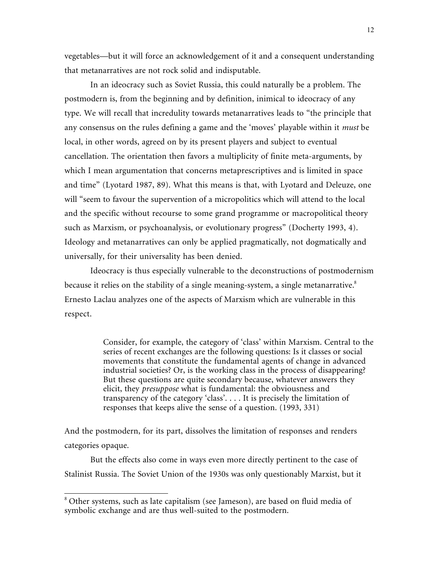vegetables—but it will force an acknowledgement of it and a consequent understanding that metanarratives are not rock solid and indisputable.

In an ideocracy such as Soviet Russia, this could naturally be a problem. The postmodern is, from the beginning and by definition, inimical to ideocracy of any type. We will recall that incredulity towards metanarratives leads to "the principle that any consensus on the rules defining a game and the 'moves' playable within it *must* be local, in other words, agreed on by its present players and subject to eventual cancellation. The orientation then favors a multiplicity of finite meta-arguments, by which I mean argumentation that concerns metaprescriptives and is limited in space and time" (Lyotard 1987, 89). What this means is that, with Lyotard and Deleuze, one will "seem to favour the supervention of a micropolitics which will attend to the local and the specific without recourse to some grand programme or macropolitical theory such as Marxism, or psychoanalysis, or evolutionary progress" (Docherty 1993, 4). Ideology and metanarratives can only be applied pragmatically, not dogmatically and universally, for their universality has been denied.

Ideocracy is thus especially vulnerable to the deconstructions of postmodernism because it relies on the stability of a single meaning-system, a single metanarrative.<sup>8</sup> Ernesto Laclau analyzes one of the aspects of Marxism which are vulnerable in this respect.

> Consider, for example, the category of 'class' within Marxism. Central to the series of recent exchanges are the following questions: Is it classes or social movements that constitute the fundamental agents of change in advanced industrial societies? Or, is the working class in the process of disappearing? But these questions are quite secondary because, whatever answers they elicit, they *presuppose* what is fundamental: the obviousness and transparency of the category 'class'. . . . It is precisely the limitation of responses that keeps alive the sense of a question. (1993, 331)

And the postmodern, for its part, dissolves the limitation of responses and renders categories opaque.

But the effects also come in ways even more directly pertinent to the case of Stalinist Russia. The Soviet Union of the 1930s was only questionably Marxist, but it

<sup>8</sup> Other systems, such as late capitalism (see Jameson), are based on fluid media of symbolic exchange and are thus well-suited to the postmodern.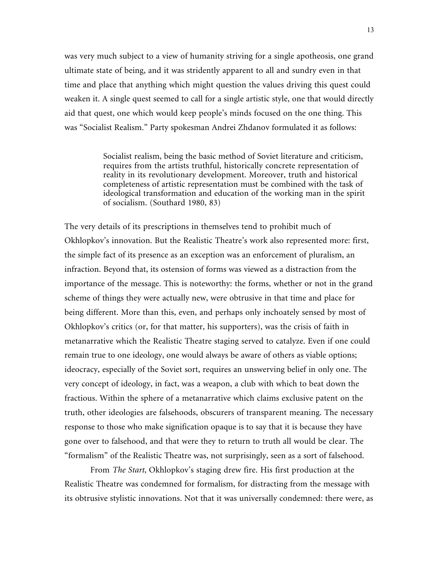was very much subject to a view of humanity striving for a single apotheosis, one grand ultimate state of being, and it was stridently apparent to all and sundry even in that time and place that anything which might question the values driving this quest could weaken it. A single quest seemed to call for a single artistic style, one that would directly aid that quest, one which would keep people's minds focused on the one thing. This was "Socialist Realism." Party spokesman Andrei Zhdanov formulated it as follows:

> Socialist realism, being the basic method of Soviet literature and criticism, requires from the artists truthful, historically concrete representation of reality in its revolutionary development. Moreover, truth and historical completeness of artistic representation must be combined with the task of ideological transformation and education of the working man in the spirit of socialism. (Southard 1980, 83)

The very details of its prescriptions in themselves tend to prohibit much of Okhlopkov's innovation. But the Realistic Theatre's work also represented more: first, the simple fact of its presence as an exception was an enforcement of pluralism, an infraction. Beyond that, its ostension of forms was viewed as a distraction from the importance of the message. This is noteworthy: the forms, whether or not in the grand scheme of things they were actually new, were obtrusive in that time and place for being different. More than this, even, and perhaps only inchoately sensed by most of Okhlopkov's critics (or, for that matter, his supporters), was the crisis of faith in metanarrative which the Realistic Theatre staging served to catalyze. Even if one could remain true to one ideology, one would always be aware of others as viable options; ideocracy, especially of the Soviet sort, requires an unswerving belief in only one. The very concept of ideology, in fact, was a weapon, a club with which to beat down the fractious. Within the sphere of a metanarrative which claims exclusive patent on the truth, other ideologies are falsehoods, obscurers of transparent meaning. The necessary response to those who make signification opaque is to say that it is because they have gone over to falsehood, and that were they to return to truth all would be clear. The "formalism" of the Realistic Theatre was, not surprisingly, seen as a sort of falsehood.

From *The Start,* Okhlopkov's staging drew fire. His first production at the Realistic Theatre was condemned for formalism, for distracting from the message with its obtrusive stylistic innovations. Not that it was universally condemned: there were, as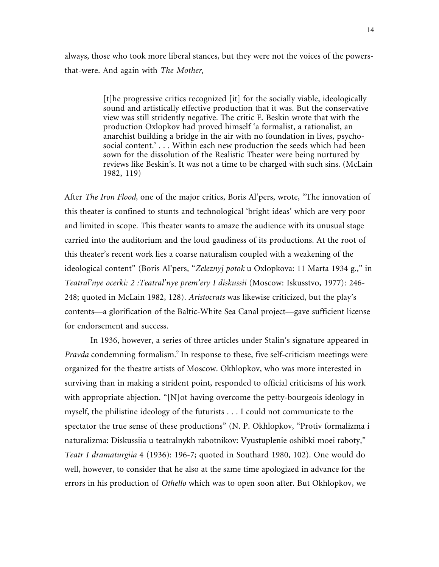always, those who took more liberal stances, but they were not the voices of the powersthat-were. And again with *The Mother,*

> [t]he progressive critics recognized [it] for the socially viable, ideologically sound and artistically effective production that it was. But the conservative view was still stridently negative. The critic E. Beskin wrote that with the production Oxlopkov had proved himself 'a formalist, a rationalist, an anarchist building a bridge in the air with no foundation in lives, psychosocial content.' . . . Within each new production the seeds which had been sown for the dissolution of the Realistic Theater were being nurtured by reviews like Beskin's. It was not a time to be charged with such sins. (McLain 1982, 119)

After *The Iron Flood,* one of the major critics, Boris Al'pers, wrote, "The innovation of this theater is confined to stunts and technological 'bright ideas' which are very poor and limited in scope. This theater wants to amaze the audience with its unusual stage carried into the auditorium and the loud gaudiness of its productions. At the root of this theater's recent work lies a coarse naturalism coupled with a weakening of the ideological content" (Boris Al'pers, "*Zeleznyj potok* u Oxlopkova: 11 Marta 1934 g.," in *Teatral'nye ocerki: 2 :Teatral'nye prem'ery I diskussii* (Moscow: Iskusstvo, 1977): 246- 248; quoted in McLain 1982, 128). *Aristocrats* was likewise criticized, but the play's contents—a glorification of the Baltic-White Sea Canal project—gave sufficient license for endorsement and success.

In 1936, however, a series of three articles under Stalin's signature appeared in Pravda condemning formalism.<sup>9</sup> In response to these, five self-criticism meetings were organized for the theatre artists of Moscow. Okhlopkov, who was more interested in surviving than in making a strident point, responded to official criticisms of his work with appropriate abjection. "[N]ot having overcome the petty-bourgeois ideology in myself, the philistine ideology of the futurists . . . I could not communicate to the spectator the true sense of these productions" (N. P. Okhlopkov, "Protiv formalizma i naturalizma: Diskussiia u teatralnykh rabotnikov: Vyustuplenie oshibki moei raboty," *Teatr I dramaturgiia* 4 (1936): 196-7; quoted in Southard 1980, 102). One would do well, however, to consider that he also at the same time apologized in advance for the errors in his production of *Othello* which was to open soon after. But Okhlopkov, we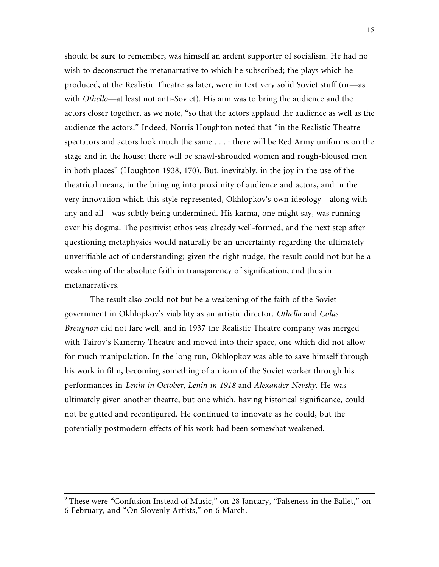should be sure to remember, was himself an ardent supporter of socialism. He had no wish to deconstruct the metanarrative to which he subscribed; the plays which he produced, at the Realistic Theatre as later, were in text very solid Soviet stuff (or—as with *Othello*—at least not anti-Soviet). His aim was to bring the audience and the actors closer together, as we note, "so that the actors applaud the audience as well as the audience the actors." Indeed, Norris Houghton noted that "in the Realistic Theatre spectators and actors look much the same . . . : there will be Red Army uniforms on the stage and in the house; there will be shawl-shrouded women and rough-bloused men in both places" (Houghton 1938, 170). But, inevitably, in the joy in the use of the theatrical means, in the bringing into proximity of audience and actors, and in the very innovation which this style represented, Okhlopkov's own ideology—along with any and all—was subtly being undermined. His karma, one might say, was running over his dogma. The positivist ethos was already well-formed, and the next step after questioning metaphysics would naturally be an uncertainty regarding the ultimately unverifiable act of understanding; given the right nudge, the result could not but be a weakening of the absolute faith in transparency of signification, and thus in metanarratives.

The result also could not but be a weakening of the faith of the Soviet government in Okhlopkov's viability as an artistic director. *Othello* and *Colas Breugnon* did not fare well, and in 1937 the Realistic Theatre company was merged with Tairov's Kamerny Theatre and moved into their space, one which did not allow for much manipulation. In the long run, Okhlopkov was able to save himself through his work in film, becoming something of an icon of the Soviet worker through his performances in *Lenin in October, Lenin in 1918* and *Alexander Nevsky.* He was ultimately given another theatre, but one which, having historical significance, could not be gutted and reconfigured. He continued to innovate as he could, but the potentially postmodern effects of his work had been somewhat weakened.

<sup>&</sup>lt;sup>9</sup> These were "Confusion Instead of Music," on 28 January, "Falseness in the Ballet," on 6 February, and "On Slovenly Artists," on 6 March.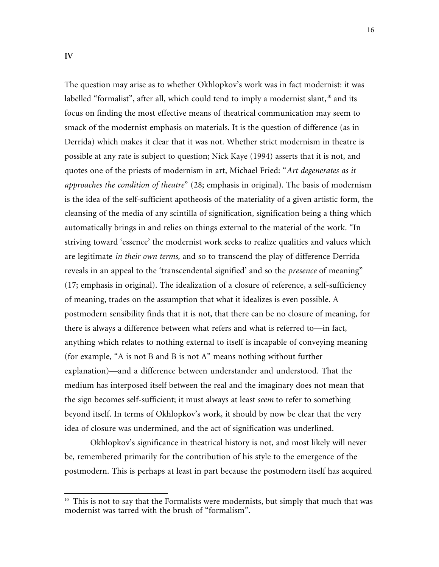$\overline{a}$ 

The question may arise as to whether Okhlopkov's work was in fact modernist: it was labelled "formalist", after all, which could tend to imply a modernist slant, $10$  and its focus on finding the most effective means of theatrical communication may seem to smack of the modernist emphasis on materials. It is the question of difference (as in Derrida) which makes it clear that it was not. Whether strict modernism in theatre is possible at any rate is subject to question; Nick Kaye (1994) asserts that it is not, and quotes one of the priests of modernism in art, Michael Fried: "*Art degenerates as it approaches the condition of theatre*" (28; emphasis in original). The basis of modernism is the idea of the self-sufficient apotheosis of the materiality of a given artistic form, the cleansing of the media of any scintilla of signification, signification being a thing which automatically brings in and relies on things external to the material of the work. "In striving toward 'essence' the modernist work seeks to realize qualities and values which are legitimate *in their own terms,* and so to transcend the play of difference Derrida reveals in an appeal to the 'transcendental signified' and so the *presence* of meaning" (17; emphasis in original). The idealization of a closure of reference, a self-sufficiency of meaning, trades on the assumption that what it idealizes is even possible. A postmodern sensibility finds that it is not, that there can be no closure of meaning, for there is always a difference between what refers and what is referred to—in fact, anything which relates to nothing external to itself is incapable of conveying meaning (for example, "A is not B and B is not A" means nothing without further explanation)—and a difference between understander and understood. That the medium has interposed itself between the real and the imaginary does not mean that the sign becomes self-sufficient; it must always at least *seem* to refer to something beyond itself. In terms of Okhlopkov's work, it should by now be clear that the very idea of closure was undermined, and the act of signification was underlined.

Okhlopkov's significance in theatrical history is not, and most likely will never be, remembered primarily for the contribution of his style to the emergence of the postmodern. This is perhaps at least in part because the postmodern itself has acquired

<sup>&</sup>lt;sup>10</sup> This is not to say that the Formalists were modernists, but simply that much that was modernist was tarred with the brush of "formalism".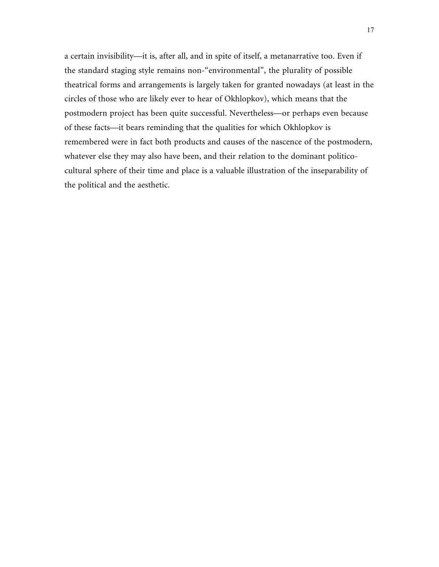a certain invisibility—it is, after all, and in spite of itself, a metanarrative too. Even if the standard staging style remains non-"environmental", the plurality of possible theatrical forms and arrangements is largely taken for granted nowadays (at least in the circles of those who are likely ever to hear of Okhlopkov), which means that the postmodern project has been quite successful. Nevertheless—or perhaps even because of these facts—it bears reminding that the qualities for which Okhlopkov is remembered were in fact both products and causes of the nascence of the postmodern, whatever else they may also have been, and their relation to the dominant politicocultural sphere of their time and place is a valuable illustration of the inseparability of the political and the aesthetic.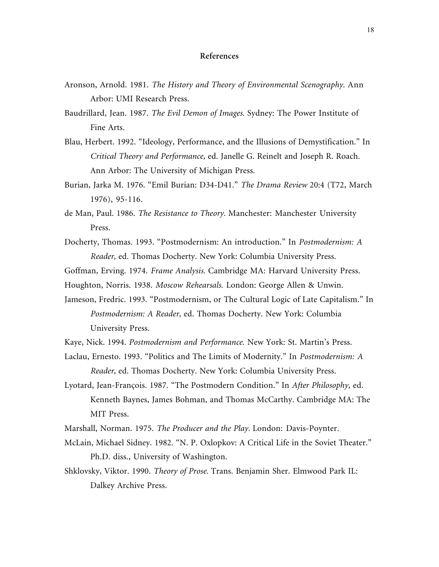## **References**

- Aronson, Arnold. 1981. *The History and Theory of Environmental Scenography.* Ann Arbor: UMI Research Press.
- Baudrillard, Jean. 1987. *The Evil Demon of Images.* Sydney: The Power Institute of Fine Arts.
- Blau, Herbert. 1992. "Ideology, Performance, and the Illusions of Demystification." In *Critical Theory and Performance,* ed. Janelle G. Reinelt and Joseph R. Roach. Ann Arbor: The University of Michigan Press.
- Burian, Jarka M. 1976. "Emil Burian: D34-D41." *The Drama Review* 20:4 (T72, March 1976), 95-116.
- de Man, Paul. 1986. *The Resistance to Theory.* Manchester: Manchester University Press.
- Docherty, Thomas. 1993. "Postmodernism: An introduction." In *Postmodernism: A Reader,* ed. Thomas Docherty. New York: Columbia University Press.
- Goffman, Erving. 1974. *Frame Analysis.* Cambridge MA: Harvard University Press.
- Houghton, Norris. 1938. *Moscow Rehearsals.* London: George Allen & Unwin.
- Jameson, Fredric. 1993. "Postmodernism, or The Cultural Logic of Late Capitalism." In *Postmodernism: A Reader,* ed. Thomas Docherty. New York: Columbia University Press.
- Kaye, Nick. 1994. *Postmodernism and Performance.* New York: St. Martin's Press.
- Laclau, Ernesto. 1993. "Politics and The Limits of Modernity." In *Postmodernism: A Reader,* ed. Thomas Docherty. New York: Columbia University Press.
- Lyotard, Jean-François. 1987. "The Postmodern Condition." In *After Philosophy,* ed. Kenneth Baynes, James Bohman, and Thomas McCarthy. Cambridge MA: The MIT Press.
- Marshall, Norman. 1975. *The Producer and the Play.* London: Davis-Poynter.
- McLain, Michael Sidney. 1982. "N. P. Oxlopkov: A Critical Life in the Soviet Theater." Ph.D. diss., University of Washington.
- Shklovsky, Viktor. 1990. *Theory of Prose.* Trans. Benjamin Sher. Elmwood Park IL: Dalkey Archive Press.